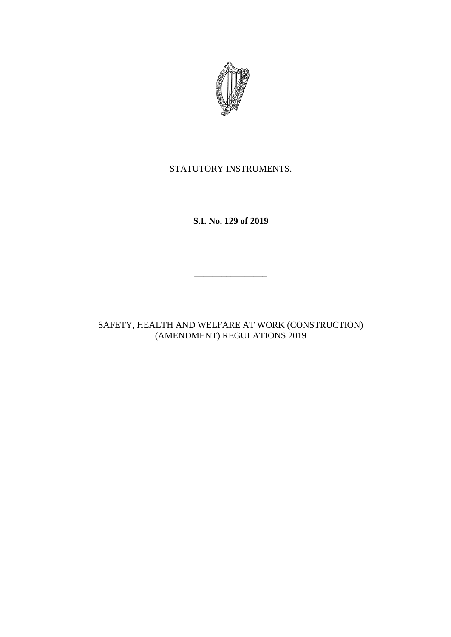

STATUTORY INSTRUMENTS.

**S.I. No. 129 of 2019**

\_\_\_\_\_\_\_\_\_\_\_\_\_\_\_\_

SAFETY, HEALTH AND WELFARE AT WORK (CONSTRUCTION) (AMENDMENT) REGULATIONS 2019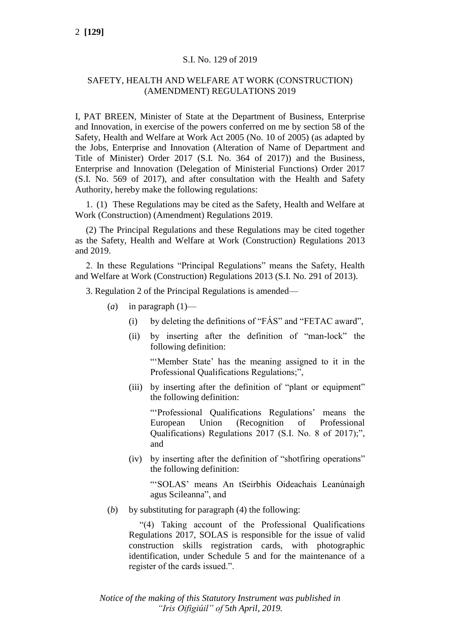## S.I. No. 129 of 2019

# SAFETY, HEALTH AND WELFARE AT WORK (CONSTRUCTION) (AMENDMENT) REGULATIONS 2019

I, PAT BREEN, Minister of State at the Department of Business, Enterprise and Innovation, in exercise of the powers conferred on me by section 58 of the Safety, Health and Welfare at Work Act 2005 (No. 10 of 2005) (as adapted by the Jobs, Enterprise and Innovation (Alteration of Name of Department and Title of Minister) Order 2017 (S.I. No. 364 of 2017)) and the Business, Enterprise and Innovation (Delegation of Ministerial Functions) Order 2017 (S.I. No. 569 of 2017), and after consultation with the Health and Safety Authority, hereby make the following regulations:

1. (1) These Regulations may be cited as the Safety, Health and Welfare at Work (Construction) (Amendment) Regulations 2019.

(2) The Principal Regulations and these Regulations may be cited together as the Safety, Health and Welfare at Work (Construction) Regulations 2013 and 2019.

2. In these Regulations "Principal Regulations" means the Safety, Health and Welfare at Work (Construction) Regulations 2013 (S.I. No. 291 of 2013).

3. Regulation 2 of the Principal Regulations is amended—

- (*a*) in paragraph  $(1)$ 
	- (i) by deleting the definitions of "FÁS" and "FETAC award",
	- (ii) by inserting after the definition of "man-lock" the following definition:

"'Member State' has the meaning assigned to it in the Professional Qualifications Regulations;",

(iii) by inserting after the definition of "plant or equipment" the following definition:

"'Professional Qualifications Regulations' means the European Union (Recognition of Professional Qualifications) Regulations 2017 (S.I. No. 8 of 2017);", and

(iv) by inserting after the definition of "shotfiring operations" the following definition:

"'SOLAS' means An tSeirbhís Oideachais Leanúnaigh agus Scileanna", and

(*b*) by substituting for paragraph (4) the following:

"(4) Taking account of the Professional Qualifications Regulations 2017, SOLAS is responsible for the issue of valid construction skills registration cards, with photographic identification, under Schedule 5 and for the maintenance of a register of the cards issued.".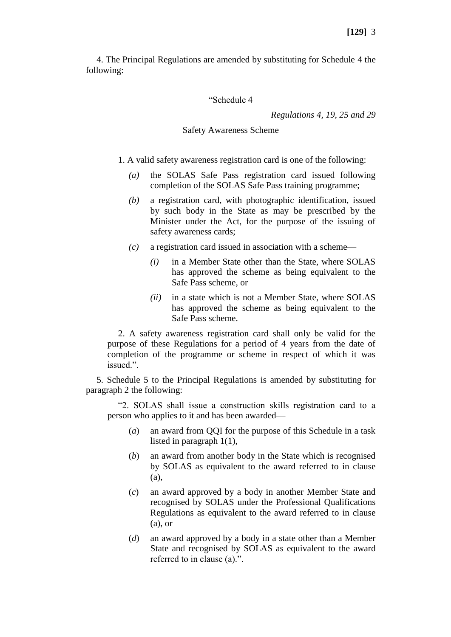4. The Principal Regulations are amended by substituting for Schedule 4 the following:

## "Schedule 4

*Regulations 4, 19, 25 and 29*

## Safety Awareness Scheme

- 1. A valid safety awareness registration card is one of the following:
	- *(a)* the SOLAS Safe Pass registration card issued following completion of the SOLAS Safe Pass training programme;
	- *(b)* a registration card, with photographic identification, issued by such body in the State as may be prescribed by the Minister under the Act, for the purpose of the issuing of safety awareness cards;
	- *(c)* a registration card issued in association with a scheme—
		- *(i)* in a Member State other than the State, where SOLAS has approved the scheme as being equivalent to the Safe Pass scheme, or
		- *(ii)* in a state which is not a Member State, where SOLAS has approved the scheme as being equivalent to the Safe Pass scheme.

2. A safety awareness registration card shall only be valid for the purpose of these Regulations for a period of 4 years from the date of completion of the programme or scheme in respect of which it was issued.".

5. Schedule 5 to the Principal Regulations is amended by substituting for paragraph 2 the following:

"2. SOLAS shall issue a construction skills registration card to a person who applies to it and has been awarded—

- (*a*) an award from QQI for the purpose of this Schedule in a task listed in paragraph 1(1),
- (*b*) an award from another body in the State which is recognised by SOLAS as equivalent to the award referred to in clause (a),
- (*c*) an award approved by a body in another Member State and recognised by SOLAS under the Professional Qualifications Regulations as equivalent to the award referred to in clause (a), or
- (*d*) an award approved by a body in a state other than a Member State and recognised by SOLAS as equivalent to the award referred to in clause (a).".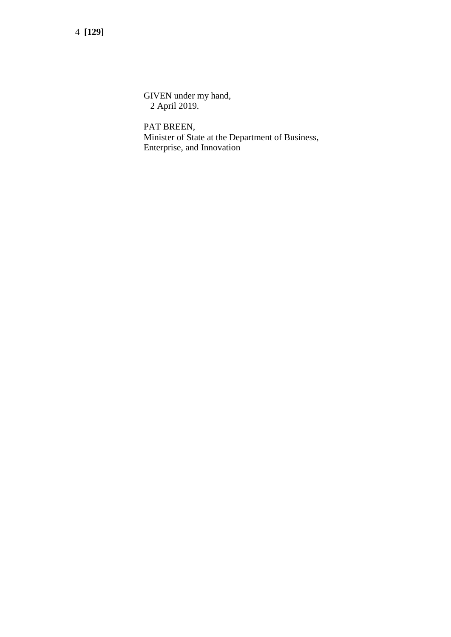4 **[129]**

GIVEN under my hand, 2 April 2019.

PAT BREEN, Minister of State at the Department of Business, Enterprise, and Innovation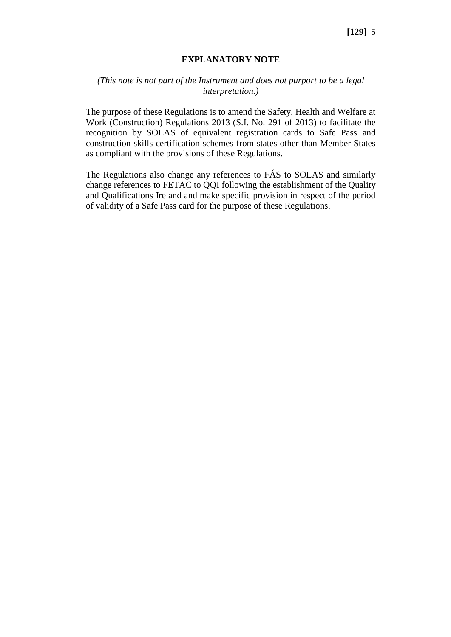#### **EXPLANATORY NOTE**

# *(This note is not part of the Instrument and does not purport to be a legal interpretation.)*

The purpose of these Regulations is to amend the Safety, Health and Welfare at Work (Construction) Regulations 2013 (S.I. No. 291 of 2013) to facilitate the recognition by SOLAS of equivalent registration cards to Safe Pass and construction skills certification schemes from states other than Member States as compliant with the provisions of these Regulations.

The Regulations also change any references to FÁS to SOLAS and similarly change references to FETAC to QQI following the establishment of the Quality and Qualifications Ireland and make specific provision in respect of the period of validity of a Safe Pass card for the purpose of these Regulations.